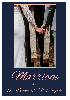

Marriage

at

St Michael & AU Angels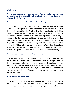# **Welcome!**

#### **Congratulations on your engagement! We are delighted that you are exploring the possibility of celebrating your marriage at St Michael & All Angels.**

## **Who can be married at St Michael & All Angels?**

The Anglican Church requires that one or both of you be baptized Christians. This baptism may have happened in any number of Christian denominations, not just the Anglican Church. In coming to the Christian Church for marriage we provide for people to make their commitment to one another before God and with God's blessing in the Christian way as expressed in the Anglican tradition. It may be that this is the first meaningful connection you have ever had with a Church, in which case you may want to explore the associated 'big questions' – What do you really believe about life and how do you find meaning? What values do you bring to marriage? How will we bring up any children of your marriage, if that is desired? The parish priest will be happy to explore any of this with you.

### **Who can be the celebrant at the marriage?**

Only the Anglican rite of marriage may be used in Anglican churches, and this must be used by an ordained and licensed Anglican clergyperson. By default, the parish priest will be the celebrant, but if you know another Anglican clergyperson whom you would like to be involved then this is possible. It is also possible to have clergy or a pastor from another church involved by the invitation of the parish priest, but they may not perform the marriage itself.

# **What about preparation?**

The Anglican Church encourages preparation for marriage beyond that of the ceremony itself. We will strongly encourage you to attend a certified and reputable marriage preparation course by a qualified provider.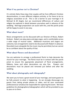## **What if my partner isn't a Christian?**

It's entirely likely these days that couples will be from different Christian denominations, or even different religions entirely, or for there to be no religious association at all. This is not a barrier to your marriage in St Michael & All Angels, but we recommend differences of culture and religion be explored in detail between yourselves well in advance of the wedding. Marriage preparation can assist with this, and the parish priest will be happy to assist in any way.

## **What about music?**

Music arrangements can be discussed with our Director of Music, Robert Graham. Robert can play piano and pipe organ, and is comfortable across a wide range of musical styles. Additional musicians and singers are welcome, but arrangements need to be discussed with Robert in advance. Recorded music alongside the live music may be permitted, but we cannot be as confident about the quality of that.

### **What about flowers and decorations?**

You are welcome to arrange a professional florist to help decorate the church for your marriage. The florist must be in contact with the parish priest to ensure the appropriate placement of floral arrangements. Ribbons, bows and other decorations are also fine. Flowers and decorations must be placed and removed just before and after the wedding.

# **What about photography and videography?**

We want you to have a great record of your marriage, and want guests to be fully present to what is happening. So we strongly discourage any guests from taking private photos or video, and let your nominated professional (or amateur) be responsible for capturing the event. We have guidelines for photographers/videographers which will be provided to you to pass on to them.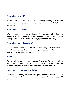## **What about confetti?**

In the interest of the environment, preventing slipping hazards, and cleanliness, we only can allow a form of Dried Petal Eco Confetti to be used outside the church.

# **What about rehearsing?**

A full rehearsal (but not a dress rehearsal) for everyone involved, including bridesmaids, groomsmen, witnesses, readers, musicians etc., will be arranged with the parish priest a few days prior to the ceremony.

### **What about legal documents?**

The parish priest will need to see original copies of your birth certificates, and where necessary, divorce papers and/or death certificates. If you are born overseas a valid passport is fine.

#### **When?**

We are available for weddings most days of the year. We are not available on Sundays or in very close proximity to Christmas or Easter. Some other dates may not be available so it's best to get in early to enquire.

### **How long does the ceremony take?**

On average a wedding ceremony takes place within 30 minutes. If it is a Nuptial Mass (i.e. Holy Communion is celebrated) it can take about 50 minutes.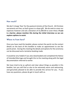### **How much?**

We don't charge 'fees' for the pastoral ministry of the Church. All Christian sacraments are free, as God's grace is a sheer gift. We do seek to cover our expenses however and ask a donation of \$1,000.00 to cover these. **If cost is a barrier, please mention this during the initial interview so we can explore options to assist.**

### **Where to from here?**

Once you have read this booklet, please contact the parish via the contact details on the back of this booklet to make an appointment to see the parish priest. During this meeting the details and options for the ceremony can be discussed and a tentative booking made.

It would be very helpful if you also downloaded and completed the Notice of Intended Marriage and brought this to the meeting along with the legal documentation referred to earlier.

We have tried to be as upfront and clear about things as possible in this booklet, but you will find us also to be extremely warm and welcoming, and genuinely pleased to be able to provide this service for you. If you have any questions, please do get in touch with us.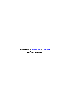*Cover photo by [zelle duda](https://unsplash.com/@zelleduda?utm_source=unsplash&utm_medium=referral&utm_content=creditCopyText) on [Unsplash](https://unsplash.com/s/photos/marriage?utm_source=unsplash&utm_medium=referral&utm_content=creditCopyText) Used with permission*